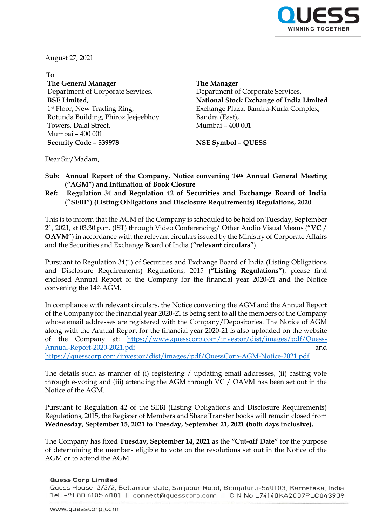

August 27, 2021

To **The General Manager** Department of Corporate Services, **BSE Limited,** 1st Floor, New Trading Ring, Rotunda Building, Phiroz Jeejeebhoy Towers, Dalal Street, Mumbai – 400 001 **Security Code – 539978 NSE Symbol – QUESS**

**The Manager** Department of Corporate Services, **National Stock Exchange of India Limited** Exchange Plaza, Bandra-Kurla Complex, Bandra (East), Mumbai – 400 001

Dear Sir/Madam,

- **Sub: Annual Report of the Company, Notice convening 14th Annual General Meeting ("AGM") and Intimation of Book Closure**
- **Ref: Regulation 34 and Regulation 42 of Securities and Exchange Board of India** ("**SEBI") (Listing Obligations and Disclosure Requirements) Regulations, 2020**

This is to inform that the AGM of the Company is scheduled to be held on Tuesday, September 21, 2021, at 03.30 p.m. (IST) through Video Conferencing/ Other Audio Visual Means ("**VC** / **OAVM**") in accordance with the relevant circulars issued by the Ministry of Corporate Affairs and the Securities and Exchange Board of India (**"relevant circulars"**).

Pursuant to Regulation 34(1) of Securities and Exchange Board of India (Listing Obligations and Disclosure Requirements) Regulations, 2015 **("Listing Regulations")**, please find enclosed Annual Report of the Company for the financial year 2020-21 and the Notice convening the 14th AGM.

In compliance with relevant circulars, the Notice convening the AGM and the Annual Report of the Company for the financial year 2020-21 is being sent to all the members of the Company whose email addresses are registered with the Company/Depositories. The Notice of AGM along with the Annual Report for the financial year 2020-21 is also uploaded on the website of the Company at: [https://www.quesscorp.com/investor/dist/images/pdf/Quess-](https://www.quesscorp.com/investor/dist/images/pdf/Quess-Annual-Report-2020-2021.pdf)[Annual-Report-2020-2021.pdf](https://www.quesscorp.com/investor/dist/images/pdf/Quess-Annual-Report-2020-2021.pdf) and <https://quesscorp.com/investor/dist/images/pdf/QuessCorp-AGM-Notice-2021.pdf>

The details such as manner of (i) registering / updating email addresses, (ii) casting vote through e-voting and (iii) attending the AGM through VC / OAVM has been set out in the Notice of the AGM.

Pursuant to Regulation 42 of the SEBI (Listing Obligations and Disclosure Requirements) Regulations, 2015, the Register of Members and Share Transfer books will remain closed from **Wednesday, September 15, 2021 to Tuesday, September 21, 2021 (both days inclusive).**

The Company has fixed **Tuesday, September 14, 2021** as the **"Cut-off Date"** for the purpose of determining the members eligible to vote on the resolutions set out in the Notice of the AGM or to attend the AGM.

## **Quess Corp Limited**

Quess House, 3/3/2, Bellandur Gate, Sarjapur Road, Bengaluru-560103, Karnataka, India Tel: +91 80 6105 6001 | connect@quesscorp.com | CIN No.L74140KA2007PLC043909